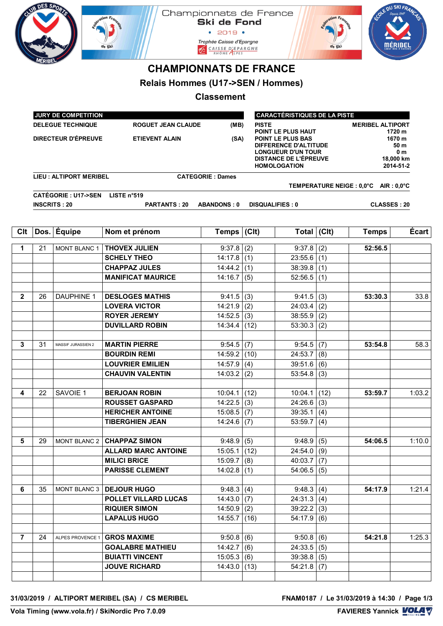|              | <b>UB DES SP</b><br>Championnats de France<br><b>Ski de Fond</b><br>2019 •<br>Trophée Caisse d'Epargne<br>$CAISE DFARGNE\nRHÔNE$<br><b>CHAMPIONNATS DE FRANCE</b><br>Relais Hommes (U17->SEN / Hommes)<br><b>Classement</b><br><b>CARACTÉRISTIQUES DE LA PISTE</b><br>JURY DE COMPETITION |                                                                                                              |                                                    |                              |                   |                                                                                                                                      |           |                                                                                                 |        |  |
|--------------|-------------------------------------------------------------------------------------------------------------------------------------------------------------------------------------------------------------------------------------------------------------------------------------------|--------------------------------------------------------------------------------------------------------------|----------------------------------------------------|------------------------------|-------------------|--------------------------------------------------------------------------------------------------------------------------------------|-----------|-------------------------------------------------------------------------------------------------|--------|--|
|              |                                                                                                                                                                                                                                                                                           | <b>DELEGUE TECHNIQUE</b><br><b>ROGUET JEAN CLAUDE</b><br><b>DIRECTEUR D'ÉPREUVE</b><br><b>ETIEVENT ALAIN</b> |                                                    | (MB)<br><b>PISTE</b><br>(SA) |                   | POINT LE PLUS HAUT<br><b>POINT LE PLUS BAS</b><br>DIFFERENCE D'ALTITUDE<br><b>LONGUEUR D'UN TOUR</b><br><b>DISTANCE DE L'ÉPREUVE</b> |           | <b>MERIBEL ALTIPORT</b><br>1720 m<br>1670 m<br>50 m<br>0 <sub>m</sub><br>18,000 km<br>2014-51-2 |        |  |
|              |                                                                                                                                                                                                                                                                                           | <b>HOMOLOGATION</b><br><b>LIEU: ALTIPORT MERIBEL</b><br><b>CATEGORIE: Dames</b>                              |                                                    |                              |                   |                                                                                                                                      |           | TEMPERATURE NEIGE : 0,0°C AIR : 0,0°C                                                           |        |  |
|              |                                                                                                                                                                                                                                                                                           | <b>CATÉGORIE: U17-&gt;SEN</b><br><b>INSCRITS: 20</b>                                                         | LISTE $n°519$<br><b>PARTANTS: 20</b>               | <b>ABANDONS: 0</b>           |                   | <b>DISQUALIFIES: 0</b>                                                                                                               |           | <b>CLASSES: 20</b>                                                                              |        |  |
| Clt          | Dos.                                                                                                                                                                                                                                                                                      | Équipe                                                                                                       | Nom et prénom                                      | <b>Temps</b>                 | (C <sub>l</sub> ) | <b>Total</b>                                                                                                                         | $ $ (CIt) | <b>Temps</b>                                                                                    | Écart  |  |
| 1            | 21                                                                                                                                                                                                                                                                                        | <b>MONT BLANC 1</b>                                                                                          | <b>THOVEX JULIEN</b>                               | 9:37.8                       | (2)               | 9:37.8                                                                                                                               | (2)       | 52:56.5                                                                                         |        |  |
|              |                                                                                                                                                                                                                                                                                           |                                                                                                              | <b>SCHELY THEO</b>                                 | 14:17.8                      | (1)               | 23:55.6                                                                                                                              | (1)       |                                                                                                 |        |  |
|              |                                                                                                                                                                                                                                                                                           |                                                                                                              | <b>CHAPPAZ JULES</b>                               | 14:44.2                      | (1)               | 38:39.8                                                                                                                              | (1)       |                                                                                                 |        |  |
|              |                                                                                                                                                                                                                                                                                           |                                                                                                              | <b>MANIFICAT MAURICE</b>                           | 14:16.7                      | (5)               | 52:56.5                                                                                                                              | (1)       |                                                                                                 |        |  |
| $\mathbf{2}$ | 26                                                                                                                                                                                                                                                                                        | <b>DAUPHINE 1</b>                                                                                            | <b>DESLOGES MATHIS</b>                             | 9:41.5                       | (3)               | 9:41.5                                                                                                                               | (3)       | 53:30.3                                                                                         | 33.8   |  |
|              |                                                                                                                                                                                                                                                                                           |                                                                                                              | <b>LOVERA VICTOR</b>                               | 14:21.9                      | (2)               | 24:03.4                                                                                                                              | (2)       |                                                                                                 |        |  |
|              |                                                                                                                                                                                                                                                                                           |                                                                                                              | <b>ROYER JEREMY</b><br><b>DUVILLARD ROBIN</b>      | 14:52.5<br>14:34.4           | (3)               | 38:55.9                                                                                                                              | (2)       |                                                                                                 |        |  |
|              |                                                                                                                                                                                                                                                                                           |                                                                                                              |                                                    |                              | (12)              | 53:30.3                                                                                                                              | (2)       |                                                                                                 |        |  |
| 3            | 31                                                                                                                                                                                                                                                                                        | MASSIF JURASSIEN 2                                                                                           | <b>MARTIN PIERRE</b>                               | 9:54.5                       | (7)               | 9:54.5                                                                                                                               | (7)       | 53:54.8                                                                                         | 58.3   |  |
|              |                                                                                                                                                                                                                                                                                           |                                                                                                              | <b>BOURDIN REMI</b>                                | 14:59.2                      | (10)              | 24:53.7                                                                                                                              | (8)       |                                                                                                 |        |  |
|              |                                                                                                                                                                                                                                                                                           |                                                                                                              | <b>LOUVRIER EMILIEN</b><br><b>CHAUVIN VALENTIN</b> | 14:57.9                      | (4)               | 39:51.6                                                                                                                              | (6)       |                                                                                                 |        |  |
|              |                                                                                                                                                                                                                                                                                           |                                                                                                              |                                                    | 14:03.2                      | (2)               | 53:54.8                                                                                                                              | (3)       |                                                                                                 |        |  |
| 4            | 22                                                                                                                                                                                                                                                                                        | SAVOIE 1                                                                                                     | <b>BERJOAN ROBIN</b>                               | 10:04.1                      | (12)              | 10:04.1                                                                                                                              | (12)      | 53:59.7                                                                                         | 1:03.2 |  |
|              |                                                                                                                                                                                                                                                                                           |                                                                                                              | <b>ROUSSET GASPARD</b>                             | 14:22.5                      | (3)               | 24:26.6                                                                                                                              | (3)       |                                                                                                 |        |  |
|              |                                                                                                                                                                                                                                                                                           |                                                                                                              | <b>HERICHER ANTOINE</b>                            | 15:08.5                      | (7)               | 39:35.1                                                                                                                              | (4)       |                                                                                                 |        |  |
|              |                                                                                                                                                                                                                                                                                           |                                                                                                              | <b>TIBERGHIEN JEAN</b>                             | 14:24.6                      | (7)               | 53:59.7                                                                                                                              | (4)       |                                                                                                 |        |  |
| 5            | 29                                                                                                                                                                                                                                                                                        |                                                                                                              | MONT BLANC 2   CHAPPAZ SIMON                       | 9:48.9(5)                    |                   | 9:48.9                                                                                                                               | (5)       | 54:06.5                                                                                         | 1:10.0 |  |
|              |                                                                                                                                                                                                                                                                                           |                                                                                                              | <b>ALLARD MARC ANTOINE</b>                         | 15:05.1                      | (12)              | 24:54.0                                                                                                                              | (9)       |                                                                                                 |        |  |
|              |                                                                                                                                                                                                                                                                                           |                                                                                                              | <b>MILICI BRICE</b>                                | 15:09.7                      | (8)               | 40:03.7                                                                                                                              | (7)       |                                                                                                 |        |  |
|              |                                                                                                                                                                                                                                                                                           |                                                                                                              | <b>PARISSE CLEMENT</b>                             | 14:02.8                      | (1)               | 54:06.5                                                                                                                              | (5)       |                                                                                                 |        |  |
| 6            | 35                                                                                                                                                                                                                                                                                        |                                                                                                              | MONT BLANC 3   DEJOUR HUGO                         | $9:48.3$ (4)                 |                   | 9:48.3                                                                                                                               | (4)       | 54:17.9                                                                                         | 1:21.4 |  |
|              |                                                                                                                                                                                                                                                                                           |                                                                                                              | <b>POLLET VILLARD LUCAS</b>                        | $14:43.0$ (7)                |                   | 24:31.3                                                                                                                              | (4)       |                                                                                                 |        |  |
|              |                                                                                                                                                                                                                                                                                           |                                                                                                              | <b>RIQUIER SIMON</b>                               | $14:50.9$ (2)                |                   | 39:22.2                                                                                                                              | (3)       |                                                                                                 |        |  |
|              |                                                                                                                                                                                                                                                                                           |                                                                                                              | <b>LAPALUS HUGO</b>                                | 14:55.7                      | (16)              | 54:17.9                                                                                                                              | (6)       |                                                                                                 |        |  |
| 7            | 24                                                                                                                                                                                                                                                                                        | ALPES PROVENCE 1                                                                                             | <b>GROS MAXIME</b>                                 | 9:50.8 (6)                   |                   | 9:50.8                                                                                                                               | (6)       | 54:21.8                                                                                         | 1:25.3 |  |
|              |                                                                                                                                                                                                                                                                                           |                                                                                                              | <b>GOALABRE MATHIEU</b>                            | 14:42.7                      | (6)               | 24:33.5                                                                                                                              | (5)       |                                                                                                 |        |  |
|              |                                                                                                                                                                                                                                                                                           |                                                                                                              | <b>BUIATTI VINCENT</b>                             | 15:05.3                      | (6)               | $39:38.8$ (5)                                                                                                                        |           |                                                                                                 |        |  |
|              |                                                                                                                                                                                                                                                                                           |                                                                                                              | <b>JOUVE RICHARD</b>                               | 14:43.0                      | (13)              | 54:21.8                                                                                                                              | (7)       |                                                                                                 |        |  |
|              |                                                                                                                                                                                                                                                                                           |                                                                                                              |                                                    |                              |                   |                                                                                                                                      |           |                                                                                                 |        |  |

**FNAM0187** / Le 31/03/2019 à 14:30 / Page 1/3<br>**FAVIERES Yannick VOLA**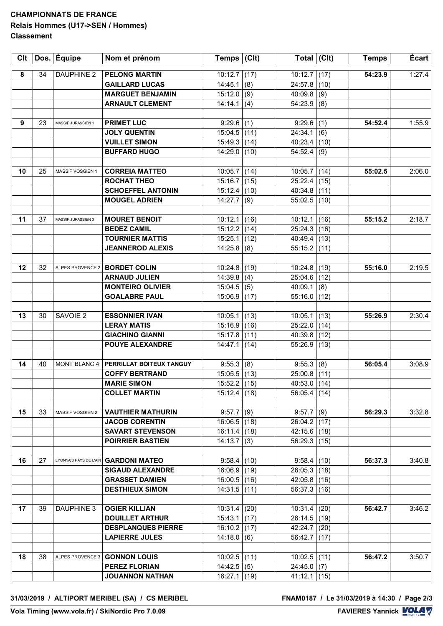## **CHAMPIONNATS DE FRANCE Relais Hommes (U17->SEN / Hommes)**

## **Classement**

|    |    | Clt   Dos.   Équipe    | Nom et prénom                 | Temps $ $ (Clt) |      | Total $ $ (Clt) |      | <b>Temps</b> | <b>Écart</b> |
|----|----|------------------------|-------------------------------|-----------------|------|-----------------|------|--------------|--------------|
| 8  | 34 | <b>DAUPHINE 2</b>      | <b>PELONG MARTIN</b>          | 10:12.7         | (17) | 10:12.7         | (17) | 54:23.9      | 1:27.4       |
|    |    |                        | <b>GAILLARD LUCAS</b>         | 14:45.1         | (8)  | $24:57.8$ (10)  |      |              |              |
|    |    |                        | <b>MARGUET BENJAMIN</b>       | 15:12.0         | (9)  | $40:09.8$ (9)   |      |              |              |
|    |    |                        |                               |                 |      |                 |      |              |              |
|    |    |                        | <b>ARNAULT CLEMENT</b>        | 14:14.1         | (4)  | 54:23.9         | (8)  |              |              |
| 9  | 23 | MASSIF JURASSIEN 1     | <b>PRIMET LUC</b>             | 9:29.6          | (1)  | 9:29.6          | (1)  | 54:52.4      | 1:55.9       |
|    |    |                        | <b>JOLY QUENTIN</b>           | 15:04.5         | (11) | 24:34.1         | (6)  |              |              |
|    |    |                        | <b>VUILLET SIMON</b>          | $15:49.3$ (14)  |      | 40:23.4         | (10) |              |              |
|    |    |                        | <b>BUFFARD HUGO</b>           | 14:29.0         | (10) | 54:52.4         | (9)  |              |              |
|    |    |                        |                               |                 |      |                 |      |              |              |
| 10 | 25 | MASSIF VOSGIEN 1       | <b>CORREIA MATTEO</b>         | 10:05.7         | (14) | 10:05.7         | (14) | 55:02.5      | 2:06.0       |
|    |    |                        | <b>ROCHAT THEO</b>            | 15:16.7         | (15) | 25:22.4         | (15) |              |              |
|    |    |                        | <b>SCHOEFFEL ANTONIN</b>      | 15:12.4         | (10) | 40:34.8         | (11) |              |              |
|    |    |                        | <b>MOUGEL ADRIEN</b>          | 14:27.7         | (9)  | 55:02.5         | (10) |              |              |
|    |    |                        |                               |                 |      |                 |      |              |              |
| 11 | 37 | MASSIF JURASSIEN 3     | <b>MOURET BENOIT</b>          | 10:12.1         | (16) | 10:12.1         | (16) | 55:15.2      | 2:18.7       |
|    |    |                        | <b>BEDEZ CAMIL</b>            | 15:12.2         | (14) | 25:24.3         | (16) |              |              |
|    |    |                        | <b>TOURNIER MATTIS</b>        | 15:25.1         | (12) | 40:49.4         | (13) |              |              |
|    |    |                        | <b>JEANNEROD ALEXIS</b>       | 14:25.8         | (8)  | 55:15.2         | (11) |              |              |
|    |    |                        |                               |                 |      |                 |      |              |              |
| 12 | 32 | ALPES PROVENCE 2       | <b>BORDET COLIN</b>           | 10:24.8         | (19) | $10:24.8$ (19)  |      | 55:16.0      | 2:19.5       |
|    |    |                        | <b>ARNAUD JULIEN</b>          | 14:39.8         | (4)  | 25:04.6         | (12) |              |              |
|    |    |                        | <b>MONTEIRO OLIVIER</b>       | 15:04.5         | (5)  | 40:09.1         | (8)  |              |              |
|    |    |                        | <b>GOALABRE PAUL</b>          | 15:06.9         | (17) | 55:16.0         | (12) |              |              |
|    |    |                        |                               |                 |      |                 |      |              |              |
| 13 | 30 | SAVOIE 2               | <b>ESSONNIER IVAN</b>         | 10:05.1         | (13) | 10:05.1         | (13) | 55:26.9      | 2:30.4       |
|    |    |                        | <b>LERAY MATIS</b>            | 15:16.9         | (16) | $25:22.0$ (14)  |      |              |              |
|    |    |                        | <b>GIACHINO GIANNI</b>        | 15:17.8         | (11) | 40:39.8         | (12) |              |              |
|    |    |                        | <b>POUYE ALEXANDRE</b>        | 14:47.1         | (14) | 55:26.9         | (13) |              |              |
|    |    |                        |                               |                 |      |                 |      |              |              |
| 14 | 40 | <b>MONT BLANC 4</b>    | PERRILLAT BOITEUX TANGUY      | 9:55.3          | (8)  | 9:55.3          | (8)  | 56:05.4      | 3:08.9       |
|    |    |                        | <b>COFFY BERTRAND</b>         | 15:05.5         | (13) | $25:00.8$ (11)  |      |              |              |
|    |    |                        | <b>MARIE SIMON</b>            | $15:52.2$ (15)  |      | $40:53.0$ (14)  |      |              |              |
|    |    |                        | <b>COLLET MARTIN</b>          | 15:12.4         | (18) | 56:05.4         | (14) |              |              |
|    |    |                        |                               |                 |      |                 |      |              |              |
| 15 | 33 | MASSIF VOSGIEN 2       | <b>VAUTHIER MATHURIN</b>      | 9:57.7          | (9)  | 9:57.7          | (9)  | 56:29.3      | 3:32.8       |
|    |    |                        | <b>JACOB CORENTIN</b>         | 16:06.5         | (18) | $26:04.2$ (17)  |      |              |              |
|    |    |                        | <b>SAVART STEVENSON</b>       | 16:11.4         | (18) | $42:15.6$ (18)  |      |              |              |
|    |    |                        | <b>POIRRIER BASTIEN</b>       | 14:13.7         | (3)  | 56:29.3         | (15) |              |              |
|    |    |                        |                               |                 |      |                 |      |              |              |
| 16 | 27 | LYONNAIS PAYS DE L'AIN | <b>GARDONI MATEO</b>          | 9:58.4          | (10) | 9:58.4          | (10) | 56:37.3      | 3:40.8       |
|    |    |                        | <b>SIGAUD ALEXANDRE</b>       | 16:06.9         | (19) | 26:05.3         | (18) |              |              |
|    |    |                        | <b>GRASSET DAMIEN</b>         | 16:00.5         | (16) | 42:05.8         | (16) |              |              |
|    |    |                        | <b>DESTHIEUX SIMON</b>        | 14:31.5         | (11) | 56:37.3         | (16) |              |              |
|    |    |                        |                               |                 |      |                 |      |              |              |
| 17 | 39 | DAUPHINE 3             | <b>OGIER KILLIAN</b>          | 10:31.4         | (20) | 10:31.4         | (20) | 56:42.7      | 3:46.2       |
|    |    |                        | <b>DOUILLET ARTHUR</b>        | 15:43.1         | (17) | $26:14.5$ (19)  |      |              |              |
|    |    |                        | <b>DESPLANQUES PIERRE</b>     | 16:10.2         | (17) | $42:24.7$ (20)  |      |              |              |
|    |    |                        | <b>LAPIERRE JULES</b>         | 14:18.0         | (6)  | 56:42.7         | (17) |              |              |
|    |    |                        |                               |                 |      |                 |      |              |              |
| 18 | 38 |                        | ALPES PROVENCE 3 GONNON LOUIS | $10:02.5$ (11)  |      | $10:02.5$ (11)  |      | 56:47.2      | 3:50.7       |
|    |    |                        | <b>PEREZ FLORIAN</b>          | 14:42.5         | (5)  | $24:45.0$ (7)   |      |              |              |
|    |    |                        | <b>JOUANNON NATHAN</b>        | 16:27.1         | (19) | $41:12.1$ (15)  |      |              |              |

**FNAM0187** / Le 31/03/2019 à 14:30 / Page 2/3<br>**FAVIERES Yannick VOLA**